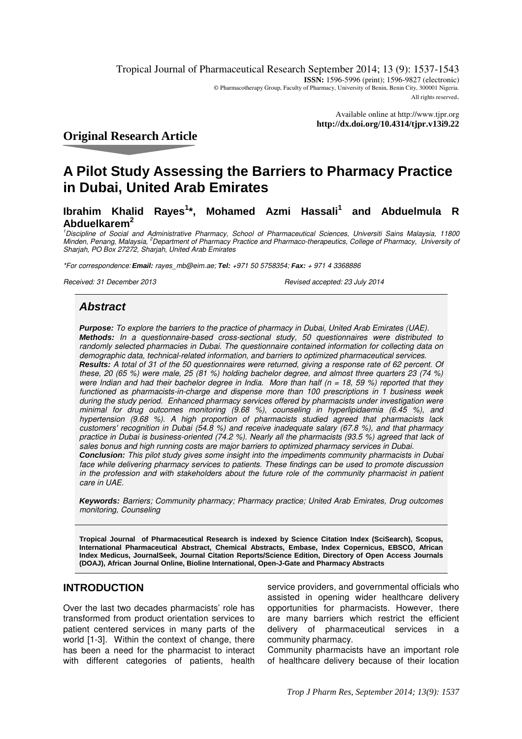Tropical Journal of Pharmaceutical Research September 2014; 13 (9): 1537-1543 **ISSN:** 1596-5996 (print); 1596-9827 (electronic) © Pharmacotherapy Group, Faculty of Pharmacy, University of Benin, Benin City, 300001 Nigeria. All rights reserved.

> Available online at http://www.tjpr.org **http://dx.doi.org/10.4314/tjpr.v13i9.22**

## **Original Research Article**

# **A Pilot Study Assessing the Barriers to Pharmacy Practice in Dubai, United Arab Emirates**

#### **Ibrahim Khalid Rayes<sup>1</sup> \*, Mohamed Azmi Hassali<sup>1</sup> and Abduelmula R Abduelkarem<sup>2</sup>**

*<sup>1</sup>Discipline of Social and Administrative Pharmacy, School of Pharmaceutical Sciences, Universiti Sains Malaysia, 11800 Minden, Penang, Malaysia, <sup>2</sup>Department of Pharmacy Practice and Pharmaco-therapeutics, College of Pharmacy, University of Sharjah, PO Box 27272, Sharjah, United Arab Emirates* 

*\*For correspondence:* **Email:** *rayes\_mb@eim.ae;* **Tel:** *+971 50 5758354;* **Fax:** *+ 971 4 3368886*

*Received: 31 December 2013 Revised accepted: 23 July 2014*

## **Abstract**

**Purpose:** *To explore the barriers to the practice of pharmacy in Dubai, United Arab Emirates (UAE).*  **Methods:** *In a questionnaire-based cross-sectional study, 50 questionnaires were distributed to randomly selected pharmacies in Dubai. The questionnaire contained information for collecting data on demographic data, technical-related information, and barriers to optimized pharmaceutical services.*  **Results:** *A total of 31 of the 50 questionnaires were returned, giving a response rate of 62 percent. Of these, 20 (65 %) were male, 25 (81 %) holding bachelor degree, and almost three quarters 23 (74 %) were Indian and had their bachelor degree in India. More than half (n = 18, 59 %) reported that they functioned as pharmacists-in-charge and dispense more than 100 prescriptions in 1 business week during the study period. Enhanced pharmacy services offered by pharmacists under investigation were minimal for drug outcomes monitoring (9.68 %), counseling in hyperlipidaemia (6.45 %), and hypertension (9.68 %). A high proportion of pharmacists studied agreed that pharmacists lack customers' recognition in Dubai (54.8 %) and receive inadequate salary (67.8 %), and that pharmacy practice in Dubai is business-oriented (74.2 %). Nearly all the pharmacists (93.5 %) agreed that lack of sales bonus and high running costs are major barriers to optimized pharmacy services in Dubai.*  **Conclusion:** *This pilot study gives some insight into the impediments community pharmacists in Dubai* 

face while delivering pharmacy services to patients. These findings can be used to promote discussion *in the profession and with stakeholders about the future role of the community pharmacist in patient care in UAE.* 

**Keywords:** *Barriers; Community pharmacy; Pharmacy practice; United Arab Emirates, Drug outcomes monitoring, Counseling* 

**Tropical Journal of Pharmaceutical Research is indexed by Science Citation Index (SciSearch), Scopus, International Pharmaceutical Abstract, Chemical Abstracts, Embase, Index Copernicus, EBSCO, African Index Medicus, JournalSeek, Journal Citation Reports/Science Edition, Directory of Open Access Journals (DOAJ), African Journal Online, Bioline International, Open-J-Gate and Pharmacy Abstracts** 

## **INTRODUCTION**

Over the last two decades pharmacists' role has transformed from product orientation services to patient centered services in many parts of the world [1-3]. Within the context of change, there has been a need for the pharmacist to interact with different categories of patients, health service providers, and governmental officials who assisted in opening wider healthcare delivery opportunities for pharmacists. However, there are many barriers which restrict the efficient delivery of pharmaceutical services in a community pharmacy.

Community pharmacists have an important role of healthcare delivery because of their location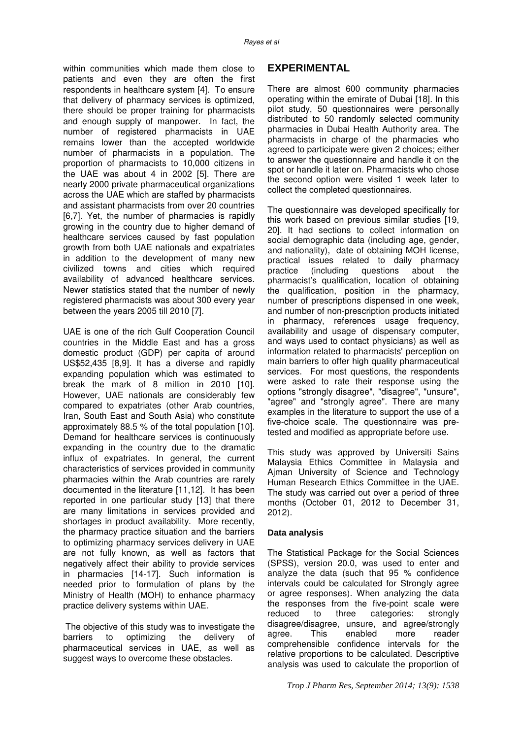within communities which made them close to patients and even they are often the first respondents in healthcare system [4]. To ensure that delivery of pharmacy services is optimized, there should be proper training for pharmacists and enough supply of manpower. In fact, the number of registered pharmacists in UAE remains lower than the accepted worldwide number of pharmacists in a population. The proportion of pharmacists to 10,000 citizens in the UAE was about 4 in 2002 [5]. There are nearly 2000 private pharmaceutical organizations across the UAE which are staffed by pharmacists and assistant pharmacists from over 20 countries [6,7]. Yet, the number of pharmacies is rapidly growing in the country due to higher demand of healthcare services caused by fast population growth from both UAE nationals and expatriates in addition to the development of many new civilized towns and cities which required availability of advanced healthcare services. Newer statistics stated that the number of newly registered pharmacists was about 300 every year between the years 2005 till 2010 [7].

UAE is one of the rich Gulf Cooperation Council countries in the Middle East and has a gross domestic product (GDP) per capita of around US\$52,435 [8,9]. It has a diverse and rapidly expanding population which was estimated to break the mark of 8 million in 2010 [10]. However, UAE nationals are considerably few compared to expatriates (other Arab countries, Iran, South East and South Asia) who constitute approximately 88.5 % of the total population [10]. Demand for healthcare services is continuously expanding in the country due to the dramatic influx of expatriates. In general, the current characteristics of services provided in community pharmacies within the Arab countries are rarely documented in the literature [11,12]. It has been reported in one particular study [13] that there are many limitations in services provided and shortages in product availability. More recently, the pharmacy practice situation and the barriers to optimizing pharmacy services delivery in UAE are not fully known, as well as factors that negatively affect their ability to provide services in pharmacies [14-17]. Such information is needed prior to formulation of plans by the Ministry of Health (MOH) to enhance pharmacy practice delivery systems within UAE.

 The objective of this study was to investigate the barriers to optimizing the delivery of pharmaceutical services in UAE, as well as suggest ways to overcome these obstacles.

## **EXPERIMENTAL**

There are almost 600 community pharmacies operating within the emirate of Dubai [18]. In this pilot study, 50 questionnaires were personally distributed to 50 randomly selected community pharmacies in Dubai Health Authority area. The pharmacists in charge of the pharmacies who agreed to participate were given 2 choices; either to answer the questionnaire and handle it on the spot or handle it later on. Pharmacists who chose the second option were visited 1 week later to collect the completed questionnaires.

The questionnaire was developed specifically for this work based on previous similar studies [19, 20]. It had sections to collect information on social demographic data (including age, gender, and nationality), date of obtaining MOH license, practical issues related to daily pharmacy practice (including questions about the pharmacist's qualification, location of obtaining the qualification, position in the pharmacy, number of prescriptions dispensed in one week, and number of non-prescription products initiated in pharmacy, references usage frequency, availability and usage of dispensary computer, and ways used to contact physicians) as well as information related to pharmacists' perception on main barriers to offer high quality pharmaceutical services. For most questions, the respondents were asked to rate their response using the options "strongly disagree", "disagree", "unsure", "agree" and "strongly agree". There are many examples in the literature to support the use of a five-choice scale. The questionnaire was pretested and modified as appropriate before use.

This study was approved by Universiti Sains Malaysia Ethics Committee in Malaysia and Ajman University of Science and Technology Human Research Ethics Committee in the UAE. The study was carried out over a period of three months (October 01, 2012 to December 31, 2012).

#### **Data analysis**

The Statistical Package for the Social Sciences (SPSS), version 20.0, was used to enter and analyze the data (such that 95 % confidence intervals could be calculated for Strongly agree or agree responses). When analyzing the data the responses from the five-point scale were reduced to three categories: strongly disagree/disagree, unsure, and agree/strongly agree. This enabled more reader comprehensible confidence intervals for the relative proportions to be calculated. Descriptive analysis was used to calculate the proportion of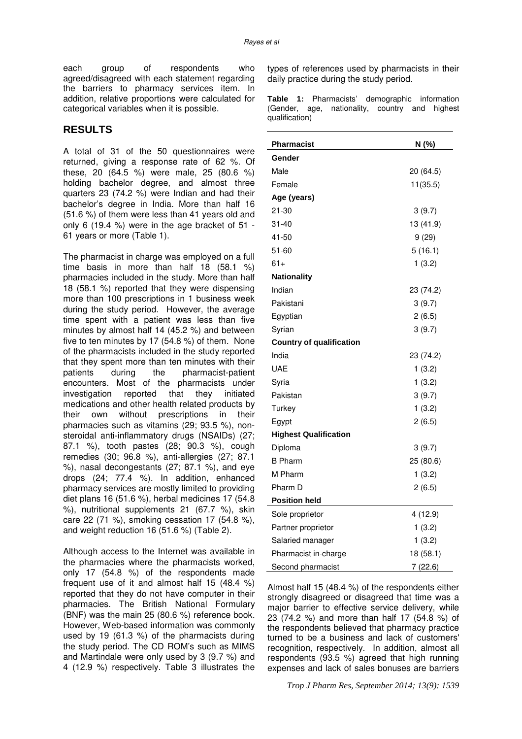each group of respondents who agreed/disagreed with each statement regarding the barriers to pharmacy services item. In addition, relative proportions were calculated for categorical variables when it is possible.

#### **RESULTS**

A total of 31 of the 50 questionnaires were returned, giving a response rate of 62 %. Of these, 20 (64.5 %) were male, 25 (80.6 %) holding bachelor degree, and almost three quarters 23 (74.2 %) were Indian and had their bachelor's degree in India. More than half 16 (51.6 %) of them were less than 41 years old and only 6 (19.4 %) were in the age bracket of 51 - 61 years or more (Table 1).

The pharmacist in charge was employed on a full time basis in more than half 18 (58.1 %) pharmacies included in the study. More than half 18 (58.1 %) reported that they were dispensing more than 100 prescriptions in 1 business week during the study period. However, the average time spent with a patient was less than five minutes by almost half 14 (45.2 %) and between five to ten minutes by 17 (54.8 %) of them. None of the pharmacists included in the study reported that they spent more than ten minutes with their patients during the pharmacist-patient encounters. Most of the pharmacists under investigation reported that they initiated medications and other health related products by their own without prescriptions in their pharmacies such as vitamins (29; 93.5 %), nonsteroidal anti-inflammatory drugs (NSAIDs) (27; 87.1 %), tooth pastes (28; 90.3 %), cough remedies (30; 96.8 %), anti-allergies (27; 87.1 %), nasal decongestants (27; 87.1 %), and eye drops (24; 77.4 %). In addition, enhanced pharmacy services are mostly limited to providing diet plans 16 (51.6 %), herbal medicines 17 (54.8 %), nutritional supplements 21 (67.7 %), skin care 22 (71 %), smoking cessation 17 (54.8 %), and weight reduction 16 (51.6 %) (Table 2).

Although access to the Internet was available in the pharmacies where the pharmacists worked, only 17 (54.8 %) of the respondents made frequent use of it and almost half 15 (48.4 %) reported that they do not have computer in their pharmacies. The British National Formulary (BNF) was the main 25 (80.6 %) reference book. However, Web-based information was commonly used by 19 (61.3 %) of the pharmacists during the study period. The CD ROM's such as MIMS and Martindale were only used by 3 (9.7 %) and 4 (12.9 %) respectively. Table 3 illustrates the

types of references used by pharmacists in their daily practice during the study period.

**Table 1:** Pharmacists' demographic information (Gender, age, nationality, country and highest qualification)

| <b>Pharmacist</b>               | N (%)     |  |  |  |
|---------------------------------|-----------|--|--|--|
| Gender                          |           |  |  |  |
| Male                            | 20 (64.5) |  |  |  |
| Female                          | 11(35.5)  |  |  |  |
| Age (years)                     |           |  |  |  |
| 21-30                           | 3(9.7)    |  |  |  |
| $31 - 40$                       | 13 (41.9) |  |  |  |
| 41-50                           | 9(29)     |  |  |  |
| 51-60                           | 5(16.1)   |  |  |  |
| $61+$                           | 1(3.2)    |  |  |  |
| <b>Nationality</b>              |           |  |  |  |
| Indian                          | 23 (74.2) |  |  |  |
| Pakistani                       | 3(9.7)    |  |  |  |
| Egyptian                        | 2(6.5)    |  |  |  |
| Syrian                          | 3(9.7)    |  |  |  |
| <b>Country of qualification</b> |           |  |  |  |
| India                           | 23 (74.2) |  |  |  |
| UAE                             | 1(3.2)    |  |  |  |
| Syria                           | 1(3.2)    |  |  |  |
| Pakistan                        | 3(9.7)    |  |  |  |
| Turkey                          | 1(3.2)    |  |  |  |
| Egypt                           | 2(6.5)    |  |  |  |
| <b>Highest Qualification</b>    |           |  |  |  |
| Diploma                         | 3(9.7)    |  |  |  |
| <b>B</b> Pharm                  | 25 (80.6) |  |  |  |
| M Pharm                         | 1(3.2)    |  |  |  |
| Pharm D                         | 2(6.5)    |  |  |  |
| <b>Position held</b>            |           |  |  |  |
| Sole proprietor                 | 4 (12.9)  |  |  |  |
| Partner proprietor              | 1(3.2)    |  |  |  |
| Salaried manager                | 1(3.2)    |  |  |  |
| Pharmacist in-charge            | 18 (58.1) |  |  |  |
| Second pharmacist               | 7(22.6)   |  |  |  |

Almost half 15 (48.4 %) of the respondents either strongly disagreed or disagreed that time was a major barrier to effective service delivery, while 23 (74.2 %) and more than half 17 (54.8 %) of the respondents believed that pharmacy practice turned to be a business and lack of customers' recognition, respectively. In addition, almost all respondents (93.5 %) agreed that high running expenses and lack of sales bonuses are barriers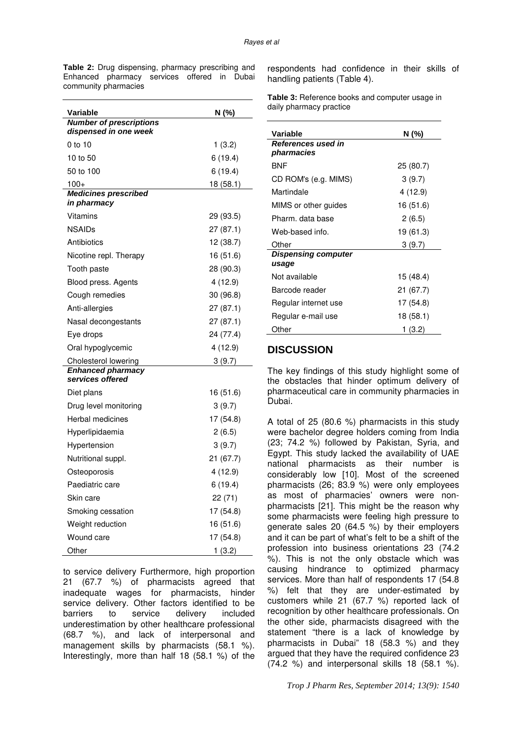**Table 2:** Drug dispensing, pharmacy prescribing and Enhanced pharmacy services offered in Dubai community pharmacies

| Variable                                                | N (%)     |  |  |  |
|---------------------------------------------------------|-----------|--|--|--|
| <b>Number of prescriptions</b><br>dispensed in one week |           |  |  |  |
| 0 to 10                                                 | 1 (3.2)   |  |  |  |
| 10 to 50                                                | 6 (19.4)  |  |  |  |
| 50 to 100                                               | 6(19.4)   |  |  |  |
| $100+$                                                  | 18 (58.1) |  |  |  |
| <b>Medicines prescribed</b><br>in pharmacy              |           |  |  |  |
| Vitamins                                                | 29 (93.5) |  |  |  |
| <b>NSAIDs</b>                                           | 27 (87.1) |  |  |  |
| Antibiotics                                             | 12 (38.7) |  |  |  |
| Nicotine repl. Therapy                                  | 16 (51.6) |  |  |  |
| Tooth paste                                             | 28 (90.3) |  |  |  |
| Blood press. Agents                                     | 4(12.9)   |  |  |  |
| Cough remedies                                          | 30 (96.8) |  |  |  |
| Anti-allergies                                          | 27 (87.1) |  |  |  |
| Nasal decongestants                                     | 27 (87.1) |  |  |  |
| Eye drops                                               | 24 (77.4) |  |  |  |
| Oral hypoglycemic                                       | 4(12.9)   |  |  |  |
| Cholesterol lowering                                    | 3(9.7)    |  |  |  |
| <b>Enhanced pharmacy</b><br>services offered            |           |  |  |  |
| Diet plans                                              | 16 (51.6) |  |  |  |
| Drug level monitoring                                   | 3(9.7)    |  |  |  |
| <b>Herbal medicines</b>                                 | 17 (54.8) |  |  |  |
| Hyperlipidaemia                                         | 2(6.5)    |  |  |  |
| Hypertension                                            | 3(9.7)    |  |  |  |
| Nutritional suppl.                                      | 21 (67.7) |  |  |  |
| Osteoporosis                                            | 4 (12.9)  |  |  |  |
| Paediatric care                                         | 6(19.4)   |  |  |  |
| Skin care                                               | 22 (71)   |  |  |  |
| Smoking cessation                                       | 17 (54.8) |  |  |  |
| Weight reduction                                        | 16 (51.6) |  |  |  |
| Wound care                                              | 17 (54.8) |  |  |  |
| Other                                                   | 1(3.2)    |  |  |  |

to service delivery Furthermore, high proportion 21 (67.7 %) of pharmacists agreed that inadequate wages for pharmacists, hinder service delivery. Other factors identified to be barriers to service delivery included underestimation by other healthcare professional (68.7 %), and lack of interpersonal and management skills by pharmacists (58.1 %). Interestingly, more than half 18 (58.1 %) of the

respondents had confidence in their skills of handling patients (Table 4).

**Table 3:** Reference books and computer usage in daily pharmacy practice

| Variable                            | N (%)     |  |  |  |
|-------------------------------------|-----------|--|--|--|
| References used in<br>pharmacies    |           |  |  |  |
| BNF                                 | 25 (80.7) |  |  |  |
| CD ROM's (e.g. MIMS)                | 3(9.7)    |  |  |  |
| Martindale                          | 4 (12.9)  |  |  |  |
| MIMS or other quides                | 16 (51.6) |  |  |  |
| Pharm, data base                    | 2(6.5)    |  |  |  |
| Web-based info.                     | 19 (61.3) |  |  |  |
| Other                               | 3(9.7)    |  |  |  |
| <b>Dispensing computer</b><br>usage |           |  |  |  |
| Not available                       | 15 (48.4) |  |  |  |
| Barcode reader                      | 21 (67.7) |  |  |  |
| Regular internet use                | 17 (54.8) |  |  |  |
| Regular e-mail use                  | 18 (58.1) |  |  |  |
| Other                               | 1(3.2)    |  |  |  |

#### **DISCUSSION**

The key findings of this study highlight some of the obstacles that hinder optimum delivery of pharmaceutical care in community pharmacies in Dubai.

A total of 25 (80.6 %) pharmacists in this study were bachelor degree holders coming from India (23; 74.2 %) followed by Pakistan, Syria, and Egypt. This study lacked the availability of UAE national pharmacists as their number is considerably low [10]. Most of the screened pharmacists (26; 83.9 %) were only employees as most of pharmacies' owners were nonpharmacists [21]. This might be the reason why some pharmacists were feeling high pressure to generate sales 20 (64.5 %) by their employers and it can be part of what's felt to be a shift of the profession into business orientations 23 (74.2 %). This is not the only obstacle which was causing hindrance to optimized pharmacy services. More than half of respondents 17 (54.8 %) felt that they are under-estimated by customers while 21 (67.7 %) reported lack of recognition by other healthcare professionals. On the other side, pharmacists disagreed with the statement "there is a lack of knowledge by pharmacists in Dubai" 18 (58.3 %) and they argued that they have the required confidence 23 (74.2 %) and interpersonal skills 18 (58.1 %).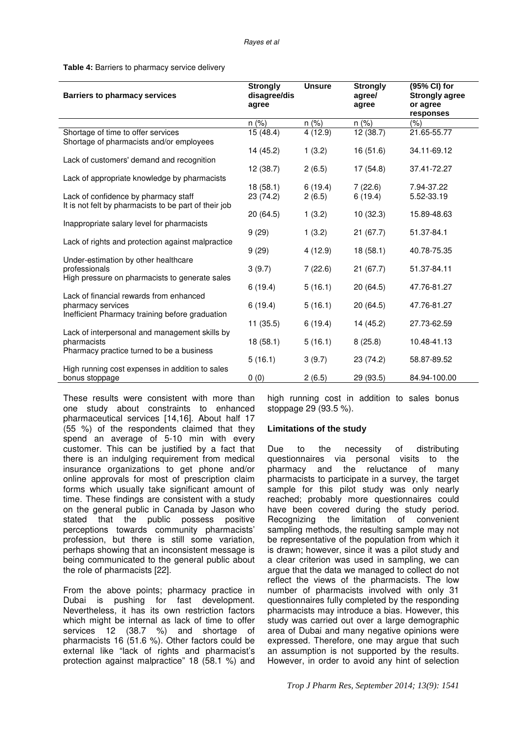#### **Table 4:** Barriers to pharmacy service delivery

| <b>Barriers to pharmacy services</b>                  | <b>Strongly</b><br>disagree/dis | <b>Unsure</b> | <b>Strongly</b><br>agree/ | (95% CI) for<br><b>Strongly agree</b> |
|-------------------------------------------------------|---------------------------------|---------------|---------------------------|---------------------------------------|
|                                                       | agree                           |               | agree                     | or agree                              |
|                                                       |                                 |               |                           | responses                             |
|                                                       | $n$ (%)                         | $n$ (%)       | $n$ (%)                   | (% )                                  |
| Shortage of time to offer services                    | 15 (48.4)                       | 4(12.9)       | 12(38.7)                  | 21.65-55.77                           |
| Shortage of pharmacists and/or employees              |                                 |               |                           |                                       |
|                                                       | 14 (45.2)                       | 1(3.2)        | 16(51.6)                  | 34.11-69.12                           |
| Lack of customers' demand and recognition             |                                 |               |                           |                                       |
|                                                       | 12 (38.7)                       | 2(6.5)        | 17(54.8)                  | 37.41-72.27                           |
| Lack of appropriate knowledge by pharmacists          |                                 |               |                           |                                       |
|                                                       | 18(58.1)                        | 6(19.4)       | 7(22.6)                   | 7.94-37.22                            |
| Lack of confidence by pharmacy staff                  | 23 (74.2)                       | 2(6.5)        | 6(19.4)                   | 5.52-33.19                            |
| It is not felt by pharmacists to be part of their job |                                 |               |                           | 15.89-48.63                           |
|                                                       | 20 (64.5)                       | 1(3.2)        | 10(32.3)                  |                                       |
| Inappropriate salary level for pharmacists            | 9(29)                           | 1(3.2)        | 21(67.7)                  | 51.37-84.1                            |
| Lack of rights and protection against malpractice     |                                 |               |                           |                                       |
|                                                       | 9(29)                           | 4(12.9)       | 18(58.1)                  | 40.78-75.35                           |
| Under-estimation by other healthcare                  |                                 |               |                           |                                       |
| professionals                                         | 3(9.7)                          | 7(22.6)       | 21(67.7)                  | 51.37-84.11                           |
| High pressure on pharmacists to generate sales        |                                 |               |                           |                                       |
|                                                       | 6(19.4)                         | 5(16.1)       | 20 (64.5)                 | 47.76-81.27                           |
| Lack of financial rewards from enhanced               |                                 |               |                           |                                       |
| pharmacy services                                     | 6(19.4)                         | 5(16.1)       | 20 (64.5)                 | 47.76-81.27                           |
| Inefficient Pharmacy training before graduation       |                                 |               |                           |                                       |
|                                                       | 11(35.5)                        | 6(19.4)       | 14 (45.2)                 | 27.73-62.59                           |
| Lack of interpersonal and management skills by        |                                 |               |                           |                                       |
| pharmacists                                           | 18 (58.1)                       | 5(16.1)       | 8(25.8)                   | 10.48-41.13                           |
| Pharmacy practice turned to be a business             |                                 |               |                           |                                       |
|                                                       | 5(16.1)                         | 3(9.7)        | 23 (74.2)                 | 58.87-89.52                           |
| High running cost expenses in addition to sales       |                                 |               |                           |                                       |
| bonus stoppage                                        | 0(0)                            | 2(6.5)        | 29 (93.5)                 | 84.94-100.00                          |

These results were consistent with more than one study about constraints to enhanced pharmaceutical services [14,16]. About half 17 (55 %) of the respondents claimed that they spend an average of 5-10 min with every customer. This can be justified by a fact that there is an indulging requirement from medical insurance organizations to get phone and/or online approvals for most of prescription claim forms which usually take significant amount of time. These findings are consistent with a study on the general public in Canada by Jason who stated that the public possess positive perceptions towards community pharmacists' profession, but there is still some variation, perhaps showing that an inconsistent message is being communicated to the general public about the role of pharmacists [22].

From the above points; pharmacy practice in Dubai is pushing for fast development. Nevertheless, it has its own restriction factors which might be internal as lack of time to offer services 12 (38.7 %) and shortage of pharmacists 16 (51.6 %). Other factors could be external like "lack of rights and pharmacist's protection against malpractice" 18 (58.1 %) and

high running cost in addition to sales bonus stoppage 29 (93.5 %).

#### **Limitations of the study**

Due to the necessity of distributing questionnaires via personal visits to the pharmacy and the reluctance of many pharmacists to participate in a survey, the target sample for this pilot study was only nearly reached; probably more questionnaires could have been covered during the study period. Recognizing the limitation of convenient sampling methods, the resulting sample may not be representative of the population from which it is drawn; however, since it was a pilot study and a clear criterion was used in sampling, we can argue that the data we managed to collect do not reflect the views of the pharmacists. The low number of pharmacists involved with only 31 questionnaires fully completed by the responding pharmacists may introduce a bias. However, this study was carried out over a large demographic area of Dubai and many negative opinions were expressed. Therefore, one may argue that such an assumption is not supported by the results. However, in order to avoid any hint of selection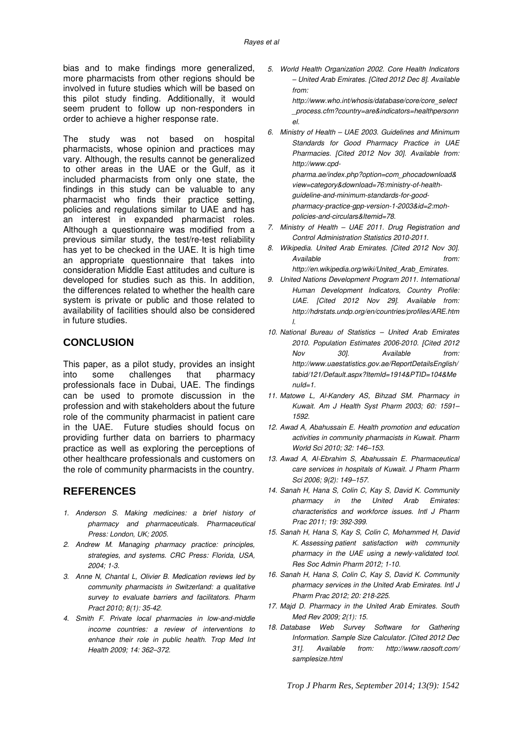bias and to make findings more generalized, more pharmacists from other regions should be involved in future studies which will be based on this pilot study finding. Additionally, it would seem prudent to follow up non-responders in order to achieve a higher response rate.

The study was not based on hospital pharmacists, whose opinion and practices may vary. Although, the results cannot be generalized to other areas in the UAE or the Gulf, as it included pharmacists from only one state, the findings in this study can be valuable to any pharmacist who finds their practice setting, policies and regulations similar to UAE and has an interest in expanded pharmacist roles. Although a questionnaire was modified from a previous similar study, the test/re-test reliability has yet to be checked in the UAE. It is high time an appropriate questionnaire that takes into consideration Middle East attitudes and culture is developed for studies such as this. In addition, the differences related to whether the health care system is private or public and those related to availability of facilities should also be considered in future studies.

#### **CONCLUSION**

This paper, as a pilot study, provides an insight into some challenges that pharmacy professionals face in Dubai, UAE. The findings can be used to promote discussion in the profession and with stakeholders about the future role of the community pharmacist in patient care in the UAE. Future studies should focus on providing further data on barriers to pharmacy practice as well as exploring the perceptions of other healthcare professionals and customers on the role of community pharmacists in the country.

## **REFERENCES**

- *1. Anderson S. Making medicines: a brief history of pharmacy and pharmaceuticals. Pharmaceutical Press: London, UK; 2005.*
- *2. Andrew M. Managing pharmacy practice: principles, strategies, and systems. CRC Press: Florida, USA, 2004; 1-3.*
- *3. Anne N, Chantal L, Olivier B. Medication reviews led by community pharmacists in Switzerland: a qualitative survey to evaluate barriers and facilitators. Pharm Pract 2010; 8(1): 35-42.*
- *4. Smith F. Private local pharmacies in low-and-middle income countries: a review of interventions to enhance their role in public health. Trop Med Int Health 2009; 14: 362–372.*

*5. World Health Organization 2002. Core Health Indicators – United Arab Emirates. [Cited 2012 Dec 8]. Available from:* 

*http://www.who.int/whosis/database/core/core\_select \_process.cfm?country=are&indicators=healthpersonn el.* 

- *6. Ministry of Health UAE 2003. Guidelines and Minimum Standards for Good Pharmacy Practice in UAE Pharmacies. [Cited 2012 Nov 30]. Available from: http://www.cpdpharma.ae/index.php?option=com\_phocadownload& view=category&download=76:ministry-of-healthguideline-and-minimum-standards-for-goodpharmacy-practice-gpp-version-1-2003&id=2:mohpolicies-and-circulars&Itemid=78.*
- *7. Ministry of Health UAE 2011. Drug Registration and Control Administration Statistics 2010-2011.*
- *8. Wikipedia. United Arab Emirates. [Cited 2012 Nov 30]. Available from: http://en.wikipedia.org/wiki/United\_Arab\_Emirates.*
- *9. United Nations Development Program 2011. International Human Development Indicators, Country Profile: UAE. [Cited 2012 Nov 29]. Available from: http://hdrstats.undp.org/en/countries/profiles/ARE.htm l.*
- *10. National Bureau of Statistics United Arab Emirates 2010. Population Estimates 2006-2010. [Cited 2012 Nov 30]. Available from: http://www.uaestatistics.gov.ae/ReportDetailsEnglish/ tabid/121/Default.aspx?ItemId=1914&PTID=104&Me*  $nuld=1$
- *11. Matowe L, Al-Kandery AS, Bihzad SM. Pharmacy in Kuwait. Am J Health Syst Pharm 2003; 60: 1591– 1592.*
- *12. Awad A, Abahussain E. Health promotion and education activities in community pharmacists in Kuwait. Pharm World Sci 2010; 32: 146–153.*
- *13. Awad A, Al-Ebrahim S, Abahussain E. Pharmaceutical care services in hospitals of Kuwait. J Pharm Pharm Sci 2006; 9(2): 149–157.*
- *14. Sanah H, Hana S, Colin C, Kay S, David K. Community pharmacy in the United Arab Emirates: characteristics and workforce issues. Intl J Pharm Prac 2011; 19: 392-399.*
- *15. Sanah H, Hana S, Kay S, Colin C, Mohammed H, David K. Assessing patient satisfaction with community pharmacy in the UAE using a newly-validated tool. Res Soc Admin Pharm 2012; 1-10.*
- *16. Sanah H, Hana S, Colin C, Kay S, David K. Community pharmacy services in the United Arab Emirates. Intl J Pharm Prac 2012; 20: 218-225.*
- *17. Majd D. Pharmacy in the United Arab Emirates. South Med Rev 2009; 2(1): 15.*
- *18. Database Web Survey Software for Gathering Information. Sample Size Calculator. [Cited 2012 Dec 31]. Available from: http://www.raosoft.com/ samplesize.html*